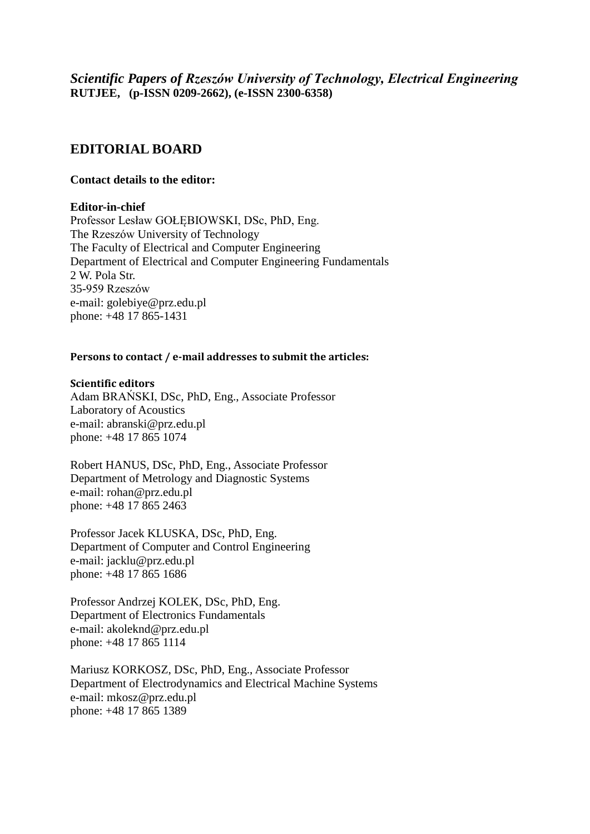*Scientific Papers of Rzeszów University of Technology, Electrical Engineering* **RUTJEE, (p-ISSN 0209-2662), (e-ISSN 2300-6358)**

# **EDITORIAL BOARD**

## **Contact details to the editor:**

### **Editor-in-chief**

Professor Lesław GOŁĘBIOWSKI, DSc, PhD, Eng. The Rzeszów University of Technology The Faculty of Electrical and Computer Engineering Department of Electrical and Computer Engineering Fundamentals 2 W. Pola Str. 35-959 Rzeszów e-mail: golebiye@prz.edu.pl phone: +48 17 865-1431

### **Persons to contact / e-mail addresses to submit the articles:**

### **Scientific editors**

Adam BRAŃSKI, DSc, PhD, Eng., Associate Professor Laboratory of Acoustics e-mail: abranski@prz.edu.pl phone: +48 17 865 1074

Robert HANUS, DSc, PhD, Eng., Associate Professor Department of Metrology and Diagnostic Systems e-mail: rohan@prz.edu.pl phone: +48 17 865 2463

Professor Jacek KLUSKA, DSc, PhD, Eng. Department of Computer and Control Engineering e-mail: jacklu@prz.edu.pl phone: +48 17 865 1686

Professor Andrzej KOLEK, DSc, PhD, Eng. Department of Electronics Fundamentals e-mail: akoleknd@prz.edu.pl phone: +48 17 865 1114

Mariusz KORKOSZ, DSc, PhD, Eng., Associate Professor Department of Electrodynamics and Electrical Machine Systems e-mail: mkosz@prz.edu.pl phone: +48 17 865 1389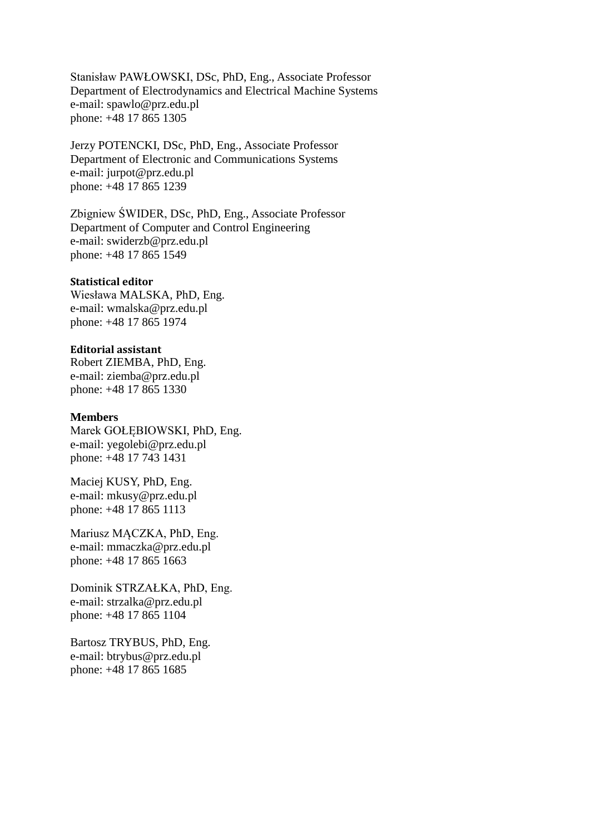Stanisław PAWŁOWSKI, DSc, PhD, Eng., Associate Professor Department of Electrodynamics and Electrical Machine Systems e-mail: spawlo@prz.edu.pl phone: +48 17 865 1305

Jerzy POTENCKI, DSc, PhD, Eng., Associate Professor Department of Electronic and Communications Systems e-mail: jurpot@prz.edu.pl phone: +48 17 865 1239

Zbigniew ŚWIDER, DSc, PhD, Eng., Associate Professor Department of Computer and Control Engineering e-mail: swiderzb@prz.edu.pl phone: +48 17 865 1549

#### **Statistical editor**

Wiesława MALSKA, PhD, Eng. e-mail: wmalska@prz.edu.pl phone: +48 17 865 1974

## **Editorial assistant**

Robert ZIEMBA, PhD, Eng. e-mail: ziemba@prz.edu.pl phone: +48 17 865 1330

### **Members**

Marek GOŁĘBIOWSKI, PhD, Eng. e-mail: yegolebi@prz.edu.pl phone: +48 17 743 1431

Maciej KUSY, PhD, Eng. e-mail: mkusy@prz.edu.pl phone: +48 17 865 1113

Mariusz MĄCZKA, PhD, Eng. e-mail: mmaczka@prz.edu.pl phone: +48 17 865 1663

Dominik STRZAŁKA, PhD, Eng. e-mail: strzalka@prz.edu.pl phone: +48 17 865 1104

Bartosz TRYBUS, PhD, Eng. e-mail: btrybus@prz.edu.pl phone: +48 17 865 1685